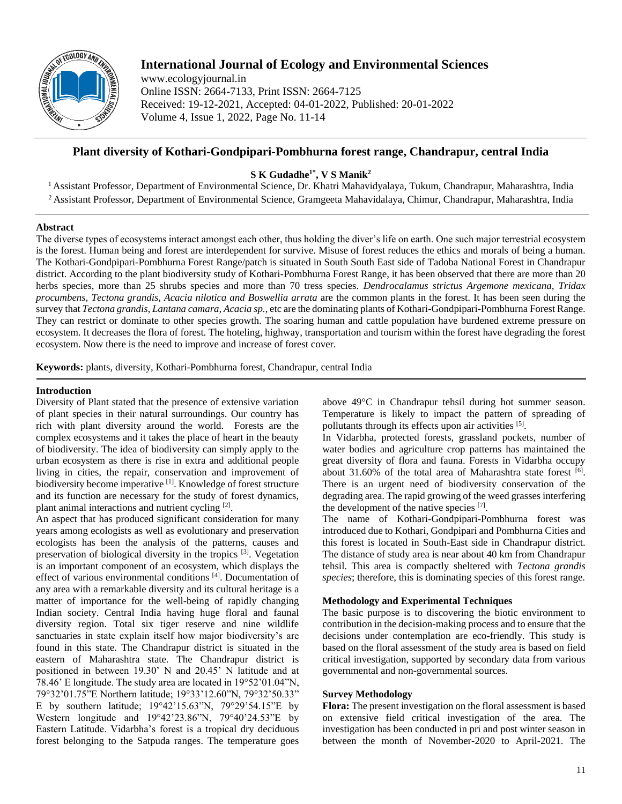

# **International Journal of Ecology and Environmental Sciences**

www.ecologyjournal.in Online ISSN: 2664-7133, Print ISSN: 2664-7125 Received: 19-12-2021, Accepted: 04-01-2022, Published: 20-01-2022 Volume 4, Issue 1, 2022, Page No. 11-14

# **Plant diversity of Kothari-Gondpipari-Pombhurna forest range, Chandrapur, central India**

**S K Gudadhe1\* , V S Manik<sup>2</sup>**

<sup>1</sup> Assistant Professor, Department of Environmental Science, Dr. Khatri Mahavidyalaya, Tukum, Chandrapur, Maharashtra, India <sup>2</sup> Assistant Professor, Department of Environmental Science, Gramgeeta Mahavidalaya, Chimur, Chandrapur, Maharashtra, India

# **Abstract**

The diverse types of ecosystems interact amongst each other, thus holding the diver's life on earth. One such major terrestrial ecosystem is the forest. Human being and forest are interdependent for survive. Misuse of forest reduces the ethics and morals of being a human. The Kothari-Gondpipari-Pombhurna Forest Range/patch is situated in South South East side of Tadoba National Forest in Chandrapur district. According to the plant biodiversity study of Kothari-Pombhurna Forest Range, it has been observed that there are more than 20 herbs species, more than 25 shrubs species and more than 70 tress species. *Dendrocalamus strictus Argemone mexicana, Tridax procumbens, Tectona grandis*, *Acacia nilotica and Boswellia arrata* are the common plants in the forest. It has been seen during the survey that *Tectona grandis*, *Lantana camara, Acacia sp.,* etc are the dominating plants of Kothari-Gondpipari-Pombhurna Forest Range. They can restrict or dominate to other species growth. The soaring human and cattle population have burdened extreme pressure on ecosystem. It decreases the flora of forest. The hoteling, highway, transportation and tourism within the forest have degrading the forest ecosystem. Now there is the need to improve and increase of forest cover.

**Keywords:** plants, diversity, Kothari-Pombhurna forest, Chandrapur, central India

## **Introduction**

Diversity of Plant stated that the presence of extensive variation of plant species in their natural surroundings. Our country has rich with plant diversity around the world. Forests are the complex ecosystems and it takes the place of heart in the beauty of biodiversity. The idea of biodiversity can simply apply to the urban ecosystem as there is rise in extra and additional people living in cities, the repair, conservation and improvement of biodiversity become imperative [1]. Knowledge of forest structure and its function are necessary for the study of forest dynamics, plant animal interactions and nutrient cycling [2].

An aspect that has produced significant consideration for many years among ecologists as well as evolutionary and preservation ecologists has been the analysis of the patterns, causes and preservation of biological diversity in the tropics [3]. Vegetation is an important component of an ecosystem, which displays the effect of various environmental conditions [4]. Documentation of any area with a remarkable diversity and its cultural heritage is a matter of importance for the well-being of rapidly changing Indian society. Central India having huge floral and faunal diversity region. Total six tiger reserve and nine wildlife sanctuaries in state explain itself how major biodiversity's are found in this state. The Chandrapur district is situated in the eastern of Maharashtra state. The Chandrapur district is positioned in between 19.30' N and 20.45' N latitude and at 78.46' E longitude. The study area are located in 19°52'01.04"N, 79°32'01.75"E Northern latitude; 19°33'12.60"N, 79°32'50.33" E by southern latitude; 19°42'15.63"N, 79°29'54.15"E by Western longitude and 19°42'23.86"N, 79°40'24.53"E by Eastern Latitude. Vidarbha's forest is a tropical dry deciduous forest belonging to the Satpuda ranges. The temperature goes

above 49°C in Chandrapur tehsil during hot summer season. Temperature is likely to impact the pattern of spreading of pollutants through its effects upon air activities [5].

In Vidarbha, protected forests, grassland pockets, number of water bodies and agriculture crop patterns has maintained the great diversity of flora and fauna. Forests in Vidarbha occupy about 31.60% of the total area of Maharashtra state forest [6]. There is an urgent need of biodiversity conservation of the degrading area. The rapid growing of the weed grasses interfering the development of the native species [7].

The name of Kothari-Gondpipari-Pombhurna forest was introduced due to Kothari, Gondpipari and Pombhurna Cities and this forest is located in South-East side in Chandrapur district. The distance of study area is near about 40 km from Chandrapur tehsil. This area is compactly sheltered with *Tectona grandis species*; therefore, this is dominating species of this forest range.

#### **Methodology and Experimental Techniques**

The basic purpose is to discovering the biotic environment to contribution in the decision-making process and to ensure that the decisions under contemplation are eco-friendly. This study is based on the floral assessment of the study area is based on field critical investigation, supported by secondary data from various governmental and non-governmental sources.

#### **Survey Methodology**

**Flora:** The present investigation on the floral assessment is based on extensive field critical investigation of the area. The investigation has been conducted in pri and post winter season in between the month of November-2020 to April-2021. The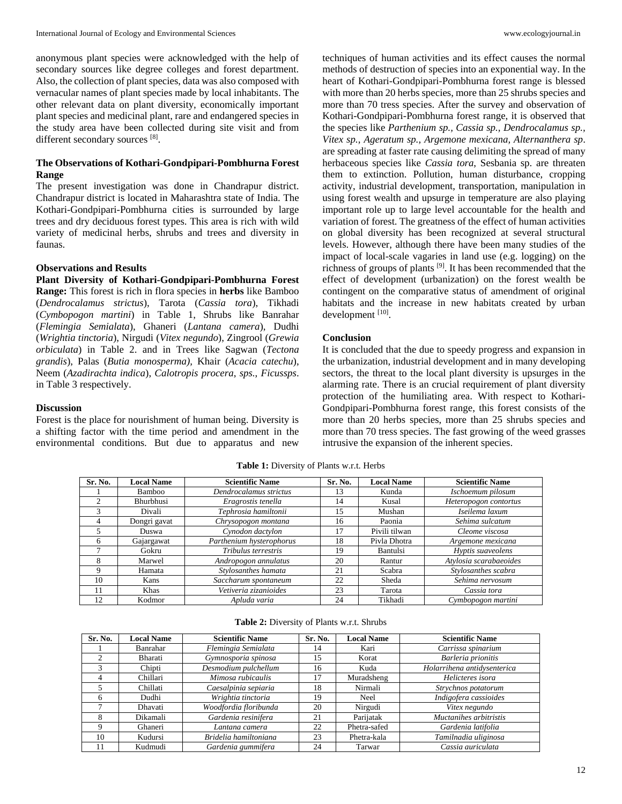anonymous plant species were acknowledged with the help of secondary sources like degree colleges and forest department. Also, the collection of plant species, data was also composed with vernacular names of plant species made by local inhabitants. The other relevant data on plant diversity, economically important plant species and medicinal plant, rare and endangered species in the study area have been collected during site visit and from different secondary sources [8].

#### **The Observations of Kothari-Gondpipari-Pombhurna Forest Range**

The present investigation was done in Chandrapur district. Chandrapur district is located in Maharashtra state of India. The Kothari-Gondpipari-Pombhurna cities is surrounded by large trees and dry deciduous forest types. This area is rich with wild variety of medicinal herbs, shrubs and trees and diversity in faunas.

#### **Observations and Results**

**Plant Diversity of Kothari-Gondpipari-Pombhurna Forest Range:** This forest is rich in flora species in **herbs** like Bamboo (*Dendrocalamus strictus*), Tarota (*Cassia tora*), Tikhadi (*Cymbopogon martini*) in Table 1, Shrubs like Banrahar (*Flemingia Semialata*), Ghaneri (*Lantana camera*), Dudhi (*Wrightia tinctoria*), Nirgudi (*Vitex negundo*), Zingrool (*Grewia orbiculata*) in Table 2. and in Trees like Sagwan (*Tectona grandis*), Palas (*Butia monosperma),* Khair (*Acacia catechu*), Neem (*Azadirachta indica*), *Calotropis procera*, *sps.*, *Ficussps*. in Table 3 respectively.

#### **Discussion**

Forest is the place for nourishment of human being. Diversity is a shifting factor with the time period and amendment in the environmental conditions. But due to apparatus and new

techniques of human activities and its effect causes the normal methods of destruction of species into an exponential way. In the heart of Kothari-Gondpipari-Pombhurna forest range is blessed with more than 20 herbs species, more than 25 shrubs species and more than 70 tress species. After the survey and observation of Kothari-Gondpipari-Pombhurna forest range, it is observed that the species like *Parthenium sp., Cassia sp., Dendrocalamus sp., Vitex sp., Ageratum sp., Argemone mexicana, Alternanthera sp*. are spreading at faster rate causing delimiting the spread of many herbaceous species like *Cassia tora*, Sesbania sp. are threaten them to extinction. Pollution, human disturbance, cropping activity, industrial development, transportation, manipulation in using forest wealth and upsurge in temperature are also playing important role up to large level accountable for the health and variation of forest. The greatness of the effect of human activities on global diversity has been recognized at several structural levels. However, although there have been many studies of the impact of local-scale vagaries in land use (e.g. logging) on the richness of groups of plants [9]. It has been recommended that the effect of development (urbanization) on the forest wealth be contingent on the comparative status of amendment of original habitats and the increase in new habitats created by urban development [10].

#### **Conclusion**

It is concluded that the due to speedy progress and expansion in the urbanization, industrial development and in many developing sectors, the threat to the local plant diversity is upsurges in the alarming rate. There is an crucial requirement of plant diversity protection of the humiliating area. With respect to Kothari-Gondpipari-Pombhurna forest range, this forest consists of the more than 20 herbs species, more than 25 shrubs species and more than 70 tress species. The fast growing of the weed grasses intrusive the expansion of the inherent species.

| Sr. No. | <b>Local Name</b> | <b>Scientific Name</b>   | Sr. No. | <b>Local Name</b> | <b>Scientific Name</b> |
|---------|-------------------|--------------------------|---------|-------------------|------------------------|
|         | Bamboo            | Dendrocalamus strictus   | 13      | Kunda             | Ischoemum pilosum      |
|         | Bhurbhusi         | Eragrostis tenella       | 14      | Kusal             | Heteropogon contortus  |
|         | Divali            | Tephrosia hamiltonii     | 15      | Mushan            | Iseilema laxum         |
| 4       | Dongri gavat      | Chrysopogon montana      | 16      | Paonia            | Sehima sulcatum        |
|         | Duswa             | Cynodon dactylon         | 17      | Pivili tilwan     | Cleome viscosa         |
| 6       | Gajargawat        | Parthenium hysterophorus | 18      | Pivla Dhotra      | Argemone mexicana      |
|         | Gokru             | Tribulus terrestris      | 19      | <b>Bantulsi</b>   | Hyptis suaveolens      |
| 8       | Marwel            | Andropogon annulatus     | 20      | Rantur            | Atylosia scarabaeoides |
| 9       | Hamata            | Stylosanthes hamata      | 21      | Scabra            | Stylosanthes scabra    |
| 10      | Kans              | Saccharum spontaneum     | 22      | Sheda             | Sehima nervosum        |
|         | Khas              | Vetiveria zizanioides    | 23      | Tarota            | Cassia tora            |
| 12      | Kodmor            | Apluda varia             | 24      | Tikhadi           | Cymbopogon martini     |

**Table 1:** Diversity of Plants w.r.t. Herbs

| Table 2: Diversity of Plants w.r.t. Shrubs |  |  |  |
|--------------------------------------------|--|--|--|
|--------------------------------------------|--|--|--|

| Sr. No. | <b>Local Name</b> | <b>Scientific Name</b> | Sr. No. | <b>Local Name</b> | <b>Scientific Name</b>      |
|---------|-------------------|------------------------|---------|-------------------|-----------------------------|
|         | Banrahar          | Flemingia Semialata    | 14      | Kari              | Carrissa spinarium          |
|         | Bharati           | Gymnosporia spinosa    | 15      | Korat             | Barleria prionitis          |
|         | Chipti            | Desmodium pulchellum   | 16      | Kuda              | Holarrihena antidysenterica |
| 4       | Chillari          | Mimosa rubicaulis      | 17      | Muradsheng        | Helicteres isora            |
|         | Chillati          | Caesalpinia sepiaria   | 18      | Nirmali           | Strychnos potatorum         |
|         | Dudhi             | Wrightia tinctoria     | 19      | Neel              | Indigofera cassioides       |
|         | Dhavati           | Woodfordia floribunda  | 20      | Nirgudi           | Vitex negundo               |
| 8       | Dikamali          | Gardenia resinifera    | 21      | Parijatak         | Muctanihes arbitristis      |
| 9       | Ghaneri           | Lantana camera         | 22      | Phetra-safed      | Gardenia latifolia          |
| 10      | Kudursi           | Bridelia hamiltoniana  | 23      | Phetra-kala       | Tamilnadia uliginosa        |
|         | Kudmudi           | Gardenia gummifera     | 24      | Tarwar            | Cassia auriculata           |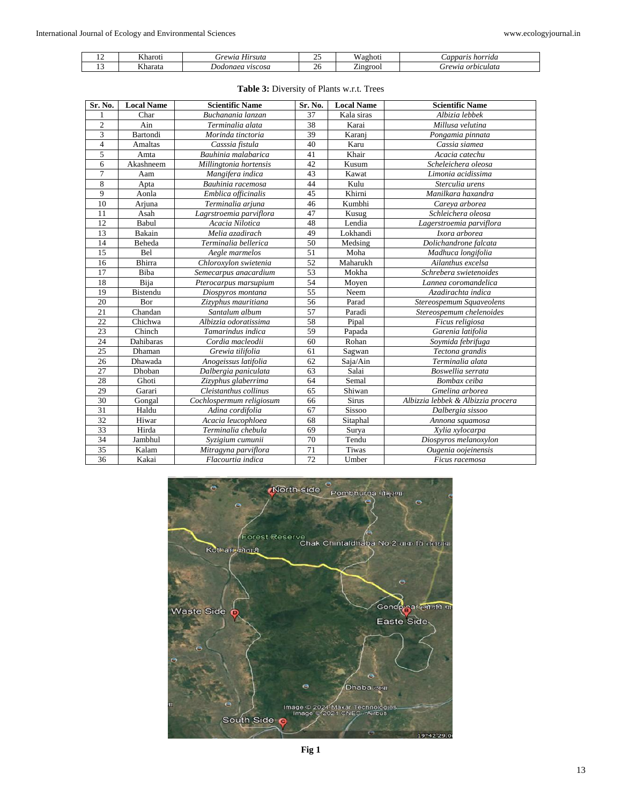| . . | Kharoti  | $\mathbf{v}$<br>Hirsuta<br>rewia<br>. | $\cap$<br><u>_</u> | $-1$<br>Waghoti          | horrida<br>Capparis  |
|-----|----------|---------------------------------------|--------------------|--------------------------|----------------------|
|     | <b>T</b> | viscosa                               | ,,                 | $\overline{\phantom{a}}$ | a orbiculata         |
|     | ∧harata  | Dodonaea                              | ZU.                | Zingrool                 | <i><b>Grewia</b></i> |

| Sr. No.        | <b>Local Name</b> | <b>Scientific Name</b>   | Sr. No. | <b>Local Name</b> | <b>Scientific Name</b>             |
|----------------|-------------------|--------------------------|---------|-------------------|------------------------------------|
| 1              | Char              | Buchanania lanzan        | 37      | Kala siras        | Albizia lebbek                     |
| $\overline{2}$ | Ain               | Terminalia alata         | 38      | Karai             | Millusa velutina                   |
| 3              | Bartondi          | Morinda tinctoria        | 39      | Karanj            | Pongamia pinnata                   |
| $\overline{4}$ | <b>Amaltas</b>    | Casssia fistula          | 40      | Karu              | Cassia siamea                      |
| $\overline{5}$ | Amta              | Bauhinia malabarica      | 41      | Khair             | Acacia catechu                     |
| 6              | Akashneem         | Millingtonia hortensis   | 42      | Kusum             | Scheleichera oleosa                |
| $\overline{7}$ | Aam               | Mangifera indica         | 43      | Kawat             | Limonia acidissima                 |
| 8              | Apta              | Bauhinia racemosa        | 44      | Kulu              | Sterculia urens                    |
| 9              | Aonla             | Emblica officinalis      | 45      | Khirni            | Manilkara haxandra                 |
| 10             | Arjuna            | Terminalia arjuna        | 46      | Kumbhi            | Careva arborea                     |
| 11             | Asah              | Lagrstroemia parviflora  | 47      | Kusug             | Schleichera oleosa                 |
| 12             | Babul             | Acacia Nilotica          | 48      | Lendia            | Lagerstroemia parviflora           |
| 13             | Bakain            | Melia azadirach          | 49      | Lokhandi          | Ixora arborea                      |
| 14             | Beheda            | Terminalia bellerica     | 50      | Medsing           | Dolichandrone falcata              |
| 15             | <b>Bel</b>        | Aegle marmelos           | 51      | Moha              | Madhuca longifolia                 |
| 16             | <b>Bhirra</b>     | Chloroxylon swietenia    | 52      | Maharukh          | Ailanthus excelsa                  |
| 17             | Biba              | Semecarpus anacardium    | 53      | Mokha             | Schrebera swietenoides             |
| 18             | Bija              | Pterocarpus marsupium    | 54      | Moyen             | Lannea coromandelica               |
| 19             | Bistendu          | Diospyros montana        | 55      | Neem              | Azadirachta indica                 |
| 20             | Bor               | Zizyphus mauritiana      | 56      | Parad             | Stereospemum Squaveolens           |
| 21             | Chandan           | Santalum album           | 57      | Paradi            | Stereospemum chelenoides           |
| 22             | Chichwa           | Albizzia odoratissima    | 58      | Pipal             | Ficus religiosa                    |
| 23             | Chinch            | Tamarindus indica        | 59      | Papada            | Garenia latifolia                  |
| 24             | Dahibaras         | Cordia macleodii         | 60      | Rohan             | Soymida febrifuga                  |
| 25             | Dhaman            | Grewia tilifolia         | 61      | Sagwan            | Tectona grandis                    |
| 26             | Dhawada           | Anogeissus latifolia     | 62      | Saja/Ain          | Terminalia alata                   |
| 27             | Dhoban            | Dalbergia paniculata     | 63      | Salai             | Boswellia serrata                  |
| 28             | Ghoti             | Zizyphus glaberrima      | 64      | Semal             | Bombax ceiba                       |
| 29             | Garari            | Cleistanthus collinus    | 65      | Shiwan            | Gmelina arborea                    |
| 30             | Gongal            | Cochlospermum religiosum | 66      | <b>Sirus</b>      | Albizzia lebbek & Albizzia procera |
| 31             | Haldu             | Adina cordifolia         | 67      | Sissoo            | Dalbergia sissoo                   |
| 32             | Hiwar             | Acacia leucophloea       | 68      | Sitaphal          | Annona squamosa                    |
| 33             | Hirda             | Terminalia chebula       | 69      | Surya             | Xylia xylocarpa                    |
| 34             | Jambhul           | Syzigium cumunii         | 70      | Tendu             | Diospyros melanoxylon              |
| 35             | Kalam             | Mitragyna parviflora     | 71      | Tiwas             | Ougenia oojeinensis                |
| 36             | Kakai             | Flacourtia indica        | 72      | Umber             | Ficus racemosa                     |

## **Table 3:** Diversity of Plants w.r.t. Trees